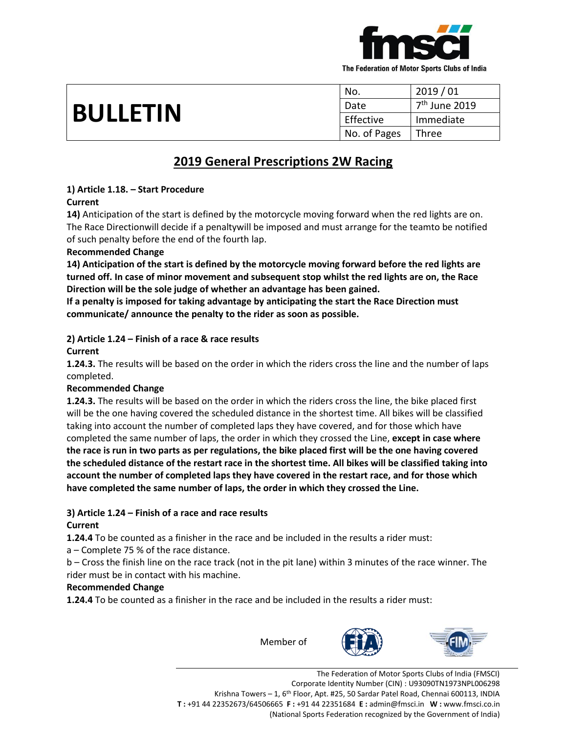

| <b>BULLETIN</b> | No.          | 2019/01                   |
|-----------------|--------------|---------------------------|
|                 | Date         | 7 <sup>th</sup> June 2019 |
|                 | Effective    | Immediate                 |
|                 | No. of Pages | Three                     |

# **2019 General Prescriptions 2W Racing**

#### **1) Article 1.18. – Start Procedure Current**

**14)** Anticipation of the start is defined by the motorcycle moving forward when the red lights are on. The Race Directionwill decide if a penaltywill be imposed and must arrange for the teamto be notified of such penalty before the end of the fourth lap.

# **Recommended Change**

**14) Anticipation of the start is defined by the motorcycle moving forward before the red lights are turned off. In case of minor movement and subsequent stop whilst the red lights are on, the Race Direction will be the sole judge of whether an advantage has been gained.**

**If a penalty is imposed for taking advantage by anticipating the start the Race Direction must communicate/ announce the penalty to the rider as soon as possible.**

# **2) Article 1.24 – Finish of a race & race results**

## **Current**

**1.24.3.** The results will be based on the order in which the riders cross the line and the number of laps completed.

# **Recommended Change**

**1.24.3.** The results will be based on the order in which the riders cross the line, the bike placed first will be the one having covered the scheduled distance in the shortest time. All bikes will be classified taking into account the number of completed laps they have covered, and for those which have completed the same number of laps, the order in which they crossed the Line, **except in case where the race is run in two parts as per regulations, the bike placed first will be the one having covered the scheduled distance of the restart race in the shortest time. All bikes will be classified taking into account the number of completed laps they have covered in the restart race, and for those which have completed the same number of laps, the order in which they crossed the Line.**

# **3) Article 1.24 – Finish of a race and race results**

# **Current**

**1.24.4** To be counted as a finisher in the race and be included in the results a rider must:

a – Complete 75 % of the race distance.

b – Cross the finish line on the race track (not in the pit lane) within 3 minutes of the race winner. The rider must be in contact with his machine.

#### **Recommended Change**

**1.24.4** To be counted as a finisher in the race and be included in the results a rider must:

Member of



The Federation of Motor Sports Clubs of India (FMSCI) Corporate Identity Number (CIN) : U93090TN1973NPL006298 Krishna Towers - 1, 6<sup>th</sup> Floor, Apt. #25, 50 Sardar Patel Road, Chennai 600113, INDIA **T :** +91 44 22352673/64506665 **F :** +91 44 22351684 **E :** admin@fmsci.in **W :** www.fmsci.co.in (National Sports Federation recognized by the Government of India)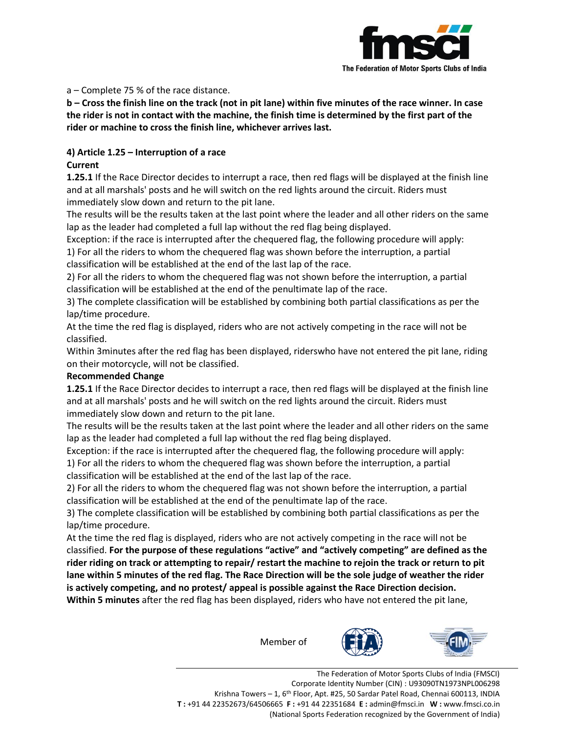

#### a – Complete 75 % of the race distance.

**b – Cross the finish line on the track (not in pit lane) within five minutes of the race winner. In case the rider is not in contact with the machine, the finish time is determined by the first part of the rider or machine to cross the finish line, whichever arrives last.**

## **4) Article 1.25 – Interruption of a race**

### **Current**

**1.25.1** If the Race Director decides to interrupt a race, then red flags will be displayed at the finish line and at all marshals' posts and he will switch on the red lights around the circuit. Riders must immediately slow down and return to the pit lane.

The results will be the results taken at the last point where the leader and all other riders on the same lap as the leader had completed a full lap without the red flag being displayed.

Exception: if the race is interrupted after the chequered flag, the following procedure will apply:

1) For all the riders to whom the chequered flag was shown before the interruption, a partial classification will be established at the end of the last lap of the race.

2) For all the riders to whom the chequered flag was not shown before the interruption, a partial classification will be established at the end of the penultimate lap of the race.

3) The complete classification will be established by combining both partial classifications as per the lap/time procedure.

At the time the red flag is displayed, riders who are not actively competing in the race will not be classified.

Within 3minutes after the red flag has been displayed, riderswho have not entered the pit lane, riding on their motorcycle, will not be classified.

#### **Recommended Change**

**1.25.1** If the Race Director decides to interrupt a race, then red flags will be displayed at the finish line and at all marshals' posts and he will switch on the red lights around the circuit. Riders must immediately slow down and return to the pit lane.

The results will be the results taken at the last point where the leader and all other riders on the same lap as the leader had completed a full lap without the red flag being displayed.

Exception: if the race is interrupted after the chequered flag, the following procedure will apply:

1) For all the riders to whom the chequered flag was shown before the interruption, a partial classification will be established at the end of the last lap of the race.

2) For all the riders to whom the chequered flag was not shown before the interruption, a partial classification will be established at the end of the penultimate lap of the race.

3) The complete classification will be established by combining both partial classifications as per the lap/time procedure.

At the time the red flag is displayed, riders who are not actively competing in the race will not be classified. **For the purpose of these regulations "active" and "actively competing" are defined as the rider riding on track or attempting to repair/ restart the machine to rejoin the track or return to pit lane within 5 minutes of the red flag. The Race Direction will be the sole judge of weather the rider is actively competing, and no protest/ appeal is possible against the Race Direction decision. Within 5 minutes** after the red flag has been displayed, riders who have not entered the pit lane,

Member of





The Federation of Motor Sports Clubs of India (FMSCI) Corporate Identity Number (CIN) : U93090TN1973NPL006298 Krishna Towers - 1, 6<sup>th</sup> Floor, Apt. #25, 50 Sardar Patel Road, Chennai 600113, INDIA **T :** +91 44 22352673/64506665 **F :** +91 44 22351684 **E :** admin@fmsci.in **W :** www.fmsci.co.in (National Sports Federation recognized by the Government of India)